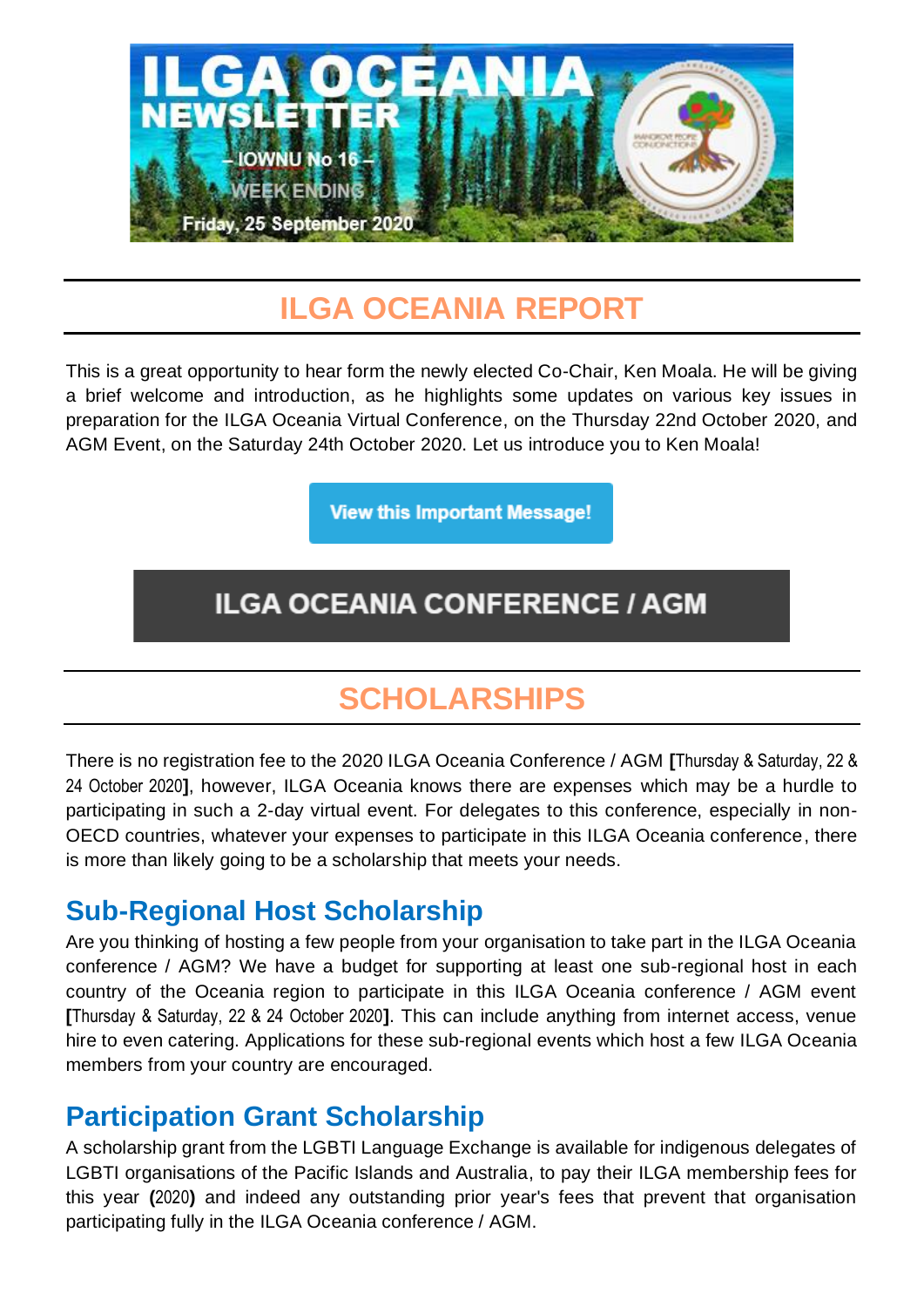

## **ILGA OCEANIA REPORT**

This is a great opportunity to hear form the newly elected Co-Chair, Ken Moala. He will be giving a brief welcome and introduction, as he highlights some updates on various key issues in preparation for the ILGA Oceania Virtual Conference, on the Thursday 22nd October 2020, and AGM Event, on the Saturday 24th October 2020. Let us introduce you to Ken Moala!

**View this Important Message!** 

## **ILGA OCEANIA CONFERENCE / AGM**

## **SCHOLARSHIPS**

There is no registration fee to the 2020 ILGA Oceania Conference / AGM **[**Thursday & Saturday, 22 & 24 October 2020**]**, however, ILGA Oceania knows there are expenses which may be a hurdle to participating in such a 2-day virtual event. For delegates to this conference, especially in non-OECD countries, whatever your expenses to participate in this ILGA Oceania conference, there is more than likely going to be a scholarship that meets your needs.

### **Sub-Regional Host Scholarship**

Are you thinking of hosting a few people from your organisation to take part in the ILGA Oceania conference / AGM? We have a budget for supporting at least one sub-regional host in each country of the Oceania region to participate in this ILGA Oceania conference / AGM event **[**Thursday & Saturday, 22 & 24 October 2020**]**. This can include anything from internet access, venue hire to even catering. Applications for these sub-regional events which host a few ILGA Oceania members from your country are encouraged.

### **Participation Grant Scholarship**

A scholarship grant from the LGBTI Language Exchange is available for indigenous delegates of LGBTI organisations of the Pacific Islands and Australia, to pay their ILGA membership fees for this year **(**2020**)** and indeed any outstanding prior year's fees that prevent that organisation participating fully in the ILGA Oceania conference / AGM.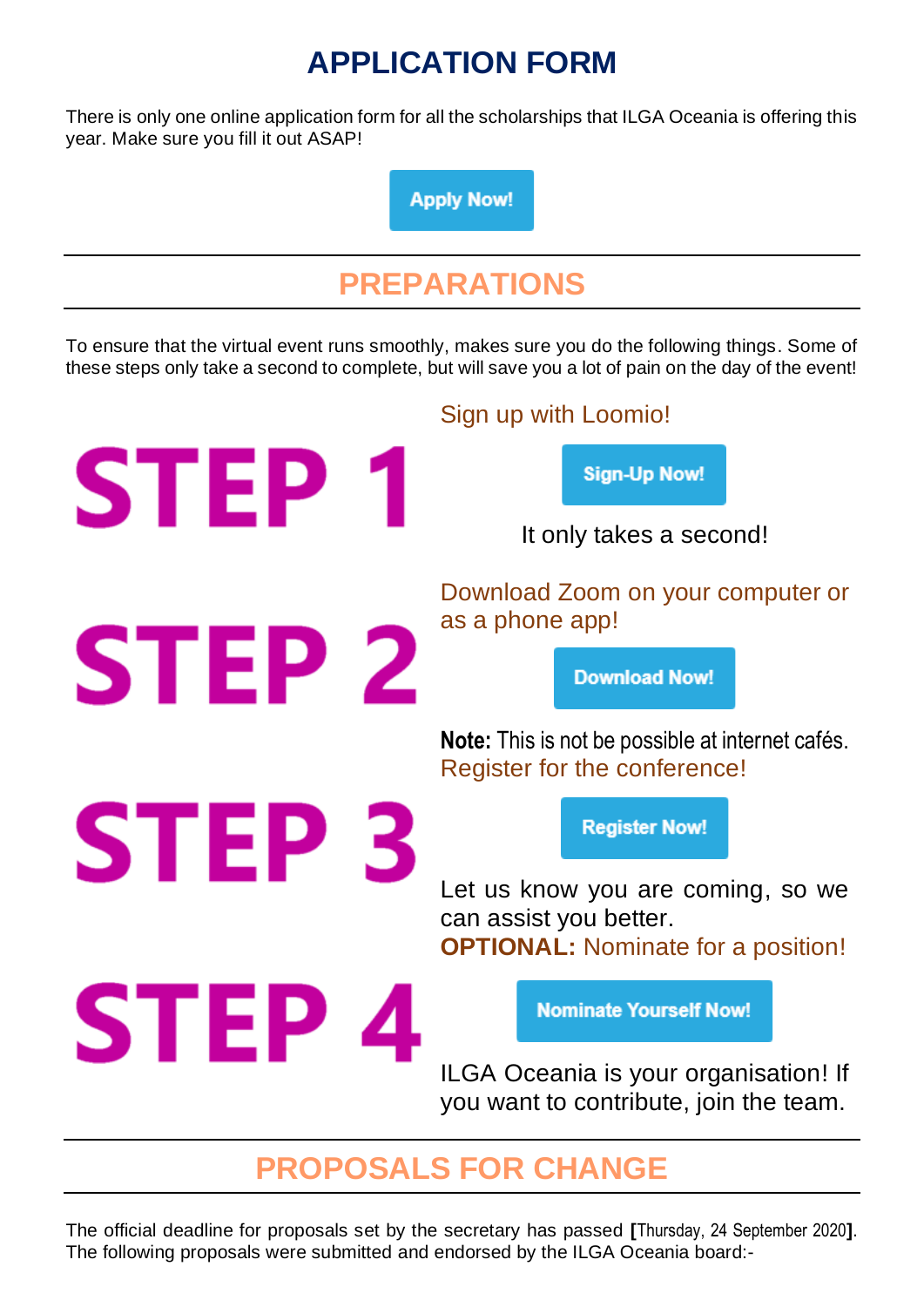# **APPLICATION FORM**

There is only one online application form for all the scholarships that ILGA Oceania is offering this year. Make sure you fill it out ASAP!

**Apply Now!** 

# **PREPARATIONS**

To ensure that the virtual event runs smoothly, makes sure you do the following things. Some of these steps only take a second to complete, but will save you a lot of pain on the day of the event!

Sign up with Loomio! **STEP Sign-Up Now!** It only takes a second! Download Zoom on your computer or as a phone app! **STEP 2 Download Now! Note:** This is not be possible at internet cafés. Register for the conference! **STEP Register Now!** Let us know you are coming, so we can assist you better. **OPTIONAL:** Nominate for a position! **STEP Nominate Yourself Now!** ILGA Oceania is your organisation! If you want to contribute, join the team.

# **PROPOSALS FOR CHANGE**

The official deadline for proposals set by the secretary has passed **[**Thursday, 24 September 2020**]**. The following proposals were submitted and endorsed by the ILGA Oceania board:-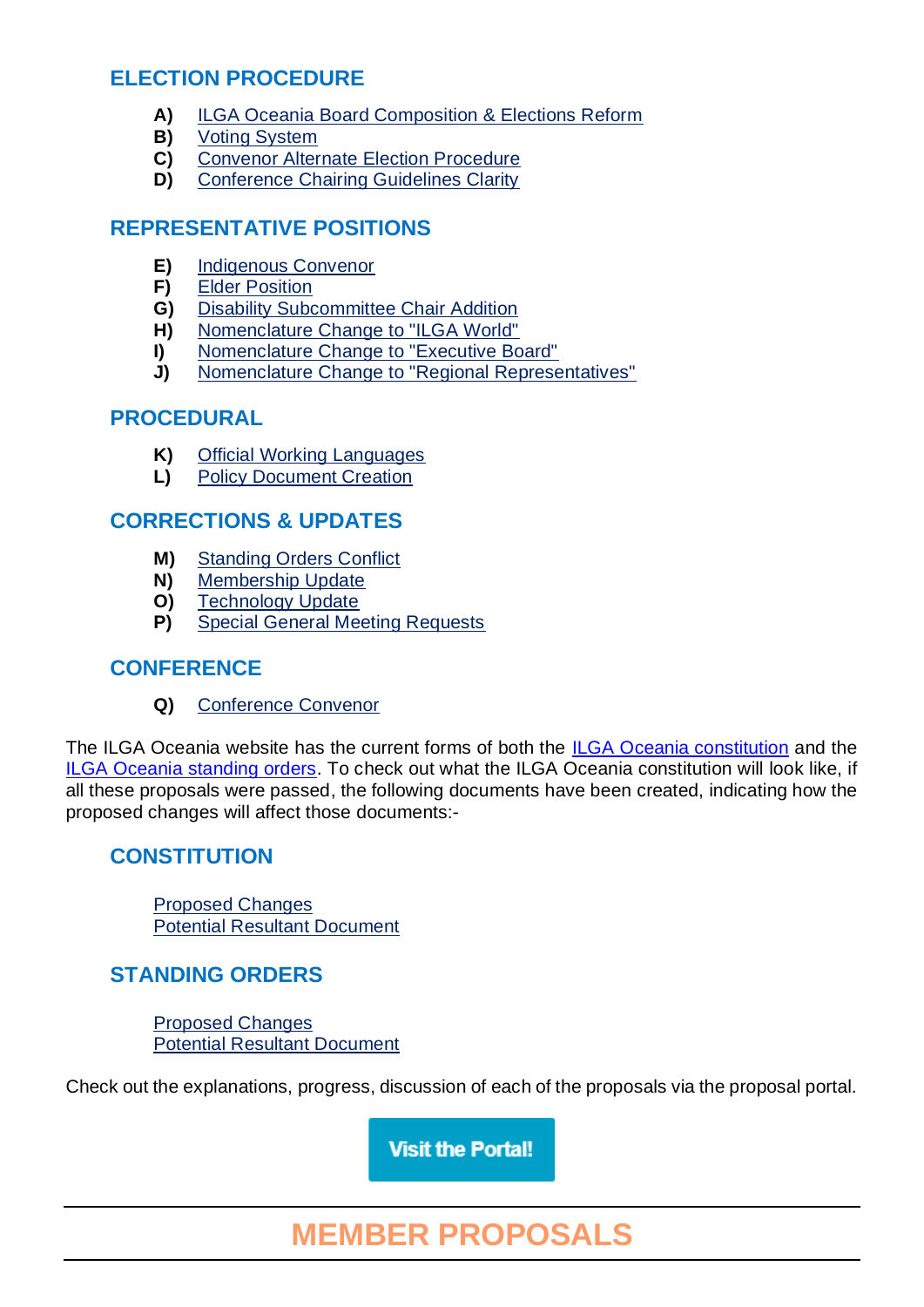### **ELECTION PROCEDURE**

- **A)** [ILGA Oceania Board Composition & Elections Reform](file:///C:/Users/Susan/Desktop/ILGA%20Oceania%20Website/public_html/conference/2020-virtual/proposals/ilga-2020_a-ilga-oceania-board-composition-&-elections-reform-%5bilga-oceania-constitutional-change%5d.pdf)
- **B)** [Voting System](file:///C:/Users/Susan/Desktop/ILGA%20Oceania%20Website/public_html/conference/2020-virtual/proposals/2020-virtual/ilga-2020_b-voting-system-%5bilga-oceania-standing-orders-change%5d.pdf)
- **C)** [Convenor Alternate Election Procedure](file:///C:/Users/Susan/Desktop/ILGA%20Oceania%20Website/public_html/conference/2020-virtual/proposals/ilga-2020_c-convenor-alternate-election-procedure-%5bilga-oceania-standing-orders-change%5d.pdf)
- **D)** [Conference Chairing Guidelines Clarity](file:///C:/Users/Susan/Desktop/ILGA%20Oceania%20Website/public_html/conference/2020-virtual/proposals/ilga-2020_d-conference-chairing-guidelines-clarity-%5bilga-oceania-standing-orders-change%5d.pdf)

#### **REPRESENTATIVE POSITIONS**

- **E)** [Indigenous Convenor](file:///C:/Users/Susan/Desktop/ILGA%20Oceania%20Website/public_html/conference/2020-virtual/proposals/ilga-2020_e-indigenous-convenor-%5bilga-oceania-constitutional-change%5d.pdf)
- **F)** [Elder Position](file:///C:/Users/Susan/Desktop/ILGA%20Oceania%20Website/public_html/conference/2020-virtual/proposals/ilga-2020_f-elder-position-%5bilga-oceania-constitutional-change%5d.pdf)
- **G)** [Disability Subcommittee Chair Addition](file:///C:/Users/Susan/Desktop/ILGA%20Oceania%20Website/public_html/conference/2020-virtual/proposals/ilga-2020_g-disability-subcommittee-chair-addition-%5bilga-oceania-constitutional-change%5d.pdf)
- **H)** [Nomenclature Change to "ILGA World"](file:///C:/Users/Susan/Desktop/ILGA%20Oceania%20Website/public_html/conference/2020-virtual/proposals/ilga-2020_h--nomenclature-change-to-ilga-world-%5bilga-oceania-constitutional-change%5d.pdf)
- **I)** [Nomenclature Change to "Executive Board"](file:///C:/Users/Susan/Desktop/ILGA%20Oceania%20Website/public_html/conference/2020-virtual/proposals/ilga-2020_i--nomenclature-change-to-executive-board-%5bilga-oceania-constitutional-change%5d.pdf)
- **J)** [Nomenclature Change to "Regional Representatives"](file:///C:/Users/Susan/Desktop/ILGA%20Oceania%20Website/public_html/conference/2020-virtual/proposals/ilga-2020_j--nomenclature-change-to-regional-representatives-%5bilga-oceania-constitutional-change%5d.pdf)

#### **PROCEDURAL**

- **K)** [Official Working Languages](file:///C:/Users/Susan/Desktop/ILGA%20Oceania%20Website/public_html/conference/2020-virtual/proposals/ilga-2020_k--official-working-languages-%5bilga-oceania-constitutional-change%5d.pdf)
- **L)** [Policy Document Creation](file:///C:/Users/Susan/Desktop/ILGA%20Oceania%20Website/public_html/conference/2020-virtual/proposals/ilga-2020_l--policy-document-creation-%5bilga-oceania-constitutional-change%5d.pdf)

#### **CORRECTIONS & UPDATES**

- **M)** [Standing Orders Conflict](file:///C:/Users/Susan/Desktop/ILGA%20Oceania%20Website/public_html/conference/2020-virtual/proposals/ilga-2020_m--standing-orders-conflict-%5bilga-oceania-standing-orders-change%5d.pdf)
- **N)** [Membership Update](file:///C:/Users/Susan/Desktop/ILGA%20Oceania%20Website/public_html/conference/2020-virtual/proposals/ilga-2020_n--membership-update-%5bilga-oceania-constitutional-change%5d.pdf)
- **O)** [Technology Update](file:///C:/Users/Susan/Desktop/ILGA%20Oceania%20Website/public_html/conference/2020-virtual/proposals/ilga-2020_o--technology-update-%5bilga-oceania-constitutional-change%5d.pdf)
- **P)** [Special General Meeting Requests](file:///C:/Users/Susan/Desktop/ILGA%20Oceania%20Website/public_html/conference/2020-virtual/proposals/ilga-2020_p--special-general-meeting-requests-%5bilga-oceania-constitutional-change%5d.pdf)

#### **CONFERENCE**

**Q)** [Conference Convenor](file:///C:/Users/Susan/Desktop/ILGA%20Oceania%20Website/public_html/proposals/ilga-2020_q--conference-convenor-%5bilga-oceania-constitutional-change%5d.pdf)

The ILGA Oceania website has the current forms of both the [ILGA Oceania constitution](http://www.ilgaoceania.org/constitution/index.htm) and the [ILGA Oceania standing orders.](http://www.ilgaoceania.org/standing-orders/index.htm) To check out what the ILGA Oceania constitution will look like, if all these proposals were passed, the following documents have been created, indicating how the proposed changes will affect those documents:-

### **CONSTITUTION**

[Proposed Changes](http://www.ilgaoceania.org/constitution/pdfs/2018-2020-apia-version-%5bwith-virtual-edits%5d-ilga-oceania-constitution.pdf) [Potential Resultant Document](http://www.ilgaoceania.org/constitution/pdfs/2020-proposed-virtual-version-ilga-oceania-constitution.pdf)

### **STANDING ORDERS**

[Proposed Changes](http://www.ilgaoceania.org/standing-orders/pdfs/2018-2020-apia-version-%5bwith-virtual-edits%5d-ilga-oceania-standing-orders.pdf) [Potential Resultant Document](http://www.ilgaoceania.org/standing-orders/pdfs/2020-proposed-virtual-version-ilga-oceania-standing-orders.pdf)

Check out the explanations, progress, discussion of each of the proposals via the proposal portal.

**Visit the Portal!** 

# **MEMBER PROPOSALS**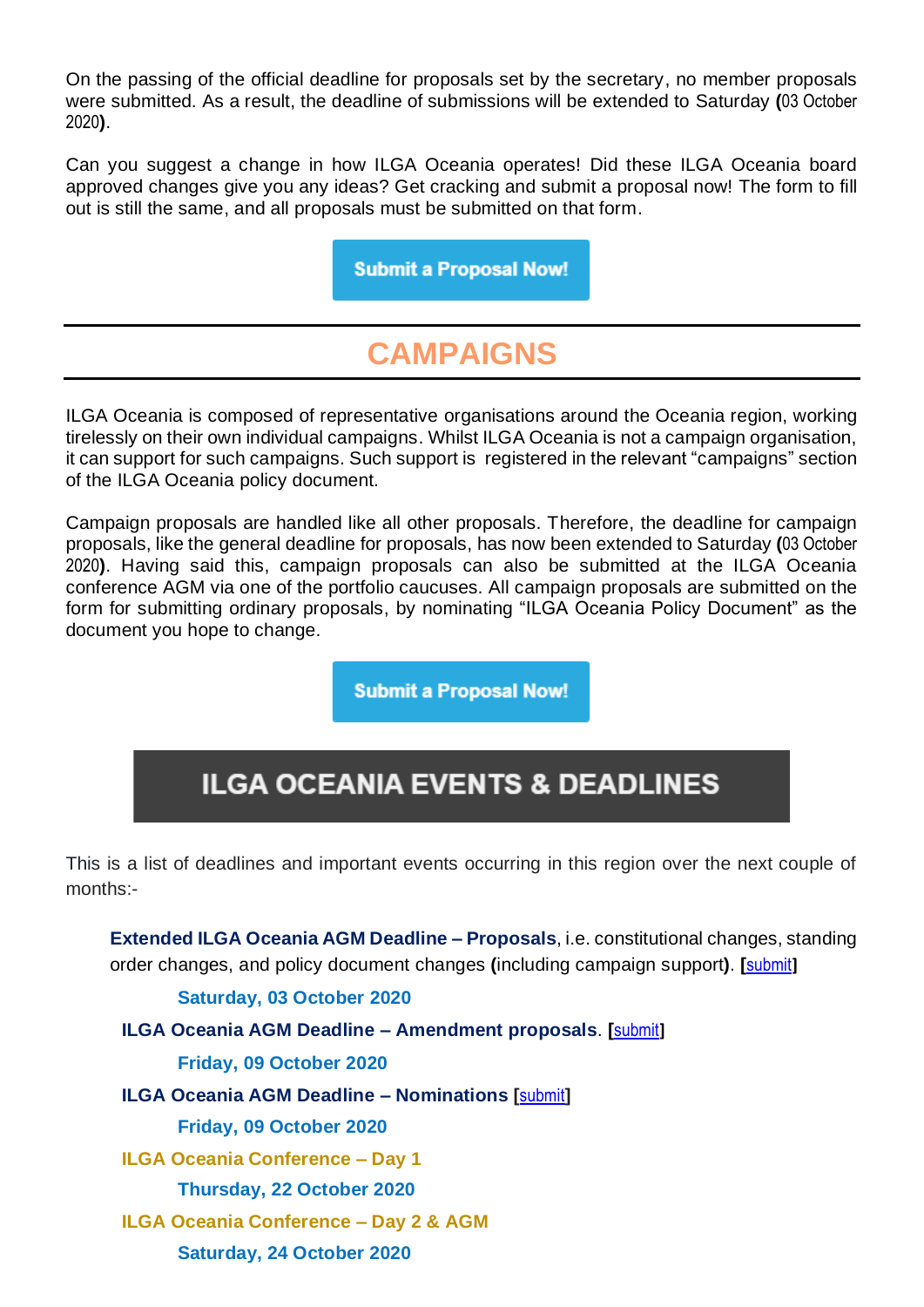On the passing of the official deadline for proposals set by the secretary, no member proposals were submitted. As a result, the deadline of submissions will be extended to Saturday **(**03 October 2020**)**.

Can you suggest a change in how ILGA Oceania operates! Did these ILGA Oceania board approved changes give you any ideas? Get cracking and submit a proposal now! The form to fill out is still the same, and all proposals must be submitted on that form.

**Submit a Proposal Now!** 

## **CAMPAIGNS**

ILGA Oceania is composed of representative organisations around the Oceania region, working tirelessly on their own individual campaigns. Whilst ILGA Oceania is not a campaign organisation, it can support for such campaigns. Such support is registered in the relevant "campaigns" section of the ILGA Oceania policy document.

Campaign proposals are handled like all other proposals. Therefore, the deadline for campaign proposals, like the general deadline for proposals, has now been extended to Saturday **(**03 October 2020**)**. Having said this, campaign proposals can also be submitted at the ILGA Oceania conference AGM via one of the portfolio caucuses. All campaign proposals are submitted on the form for submitting ordinary proposals, by nominating "ILGA Oceania Policy Document" as the document you hope to change.

**Submit a Proposal Now!** 

## **ILGA OCEANIA EVENTS & DEADLINES**

This is a list of deadlines and important events occurring in this region over the next couple of months:-

**Extended ILGA Oceania AGM Deadline – Proposals**, i.e. constitutional changes, standing order changes, and policy document changes **(**including campaign support**)**. **[**[submit](https://www.surveymonkey.com/r/ILGA-2020_Proposals)**]**

**Saturday, 03 October 2020**

**ILGA Oceania AGM Deadline – Amendment proposals**. **[**[submit](https://www.surveymonkey.com/r/ILGA-2020_Proposals)**]**

**Friday, 09 October 2020**

**ILGA Oceania AGM Deadline – Nominations [**[submit](https://www.surveymonkey.com/r/ILGA-2020_Nominations)**]**

**Friday, 09 October 2020**

**ILGA Oceania Conference – Day 1**

**Thursday, 22 October 2020**

**ILGA Oceania Conference – Day 2 & AGM**

**Saturday, 24 October 2020**